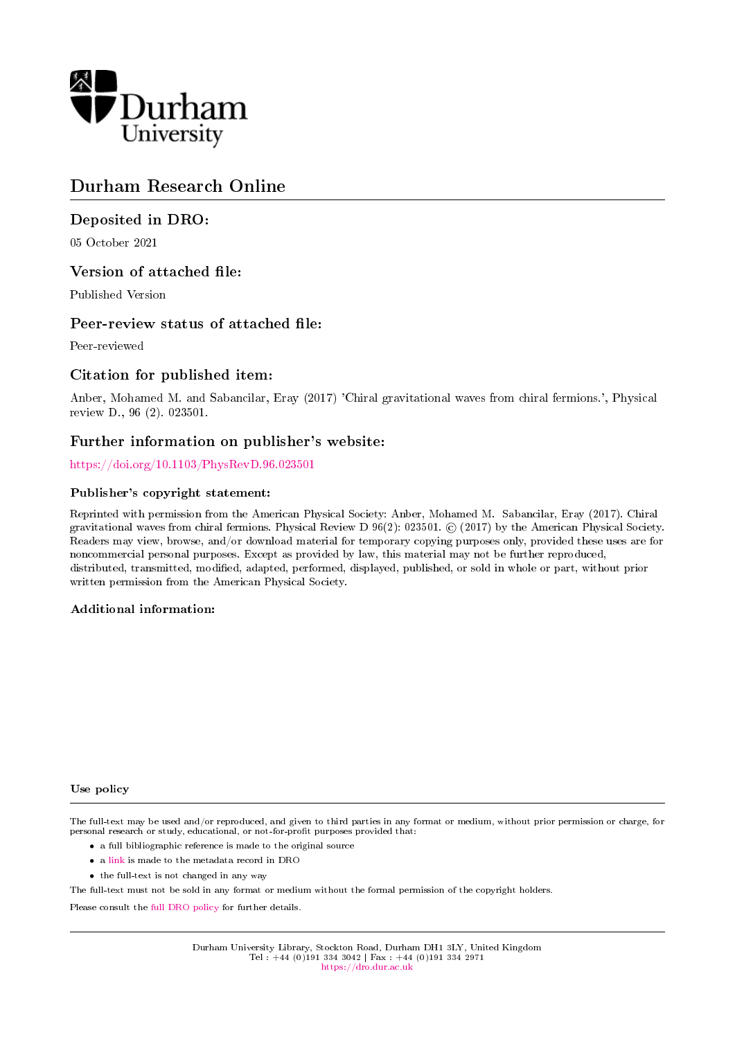

# Durham Research Online

# Deposited in DRO:

05 October 2021

# Version of attached file:

Published Version

# Peer-review status of attached file:

Peer-reviewed

# Citation for published item:

Anber, Mohamed M. and Sabancilar, Eray (2017) 'Chiral gravitational waves from chiral fermions.', Physical review D., 96 (2). 023501.

# Further information on publisher's website:

<https://doi.org/10.1103/PhysRevD.96.023501>

## Publisher's copyright statement:

Reprinted with permission from the American Physical Society: Anber, Mohamed M. Sabancilar, Eray (2017). Chiral gravitational waves from chiral fermions. Physical Review D 96(2): 023501. © (2017) by the American Physical Society. Readers may view, browse, and/or download material for temporary copying purposes only, provided these uses are for noncommercial personal purposes. Except as provided by law, this material may not be further reproduced, distributed, transmitted, modied, adapted, performed, displayed, published, or sold in whole or part, without prior written permission from the American Physical Society.

## Additional information:

#### Use policy

The full-text may be used and/or reproduced, and given to third parties in any format or medium, without prior permission or charge, for personal research or study, educational, or not-for-profit purposes provided that:

- a full bibliographic reference is made to the original source
- a [link](http://dro.dur.ac.uk/34054/) is made to the metadata record in DRO
- the full-text is not changed in any way

The full-text must not be sold in any format or medium without the formal permission of the copyright holders.

Please consult the [full DRO policy](https://dro.dur.ac.uk/policies/usepolicy.pdf) for further details.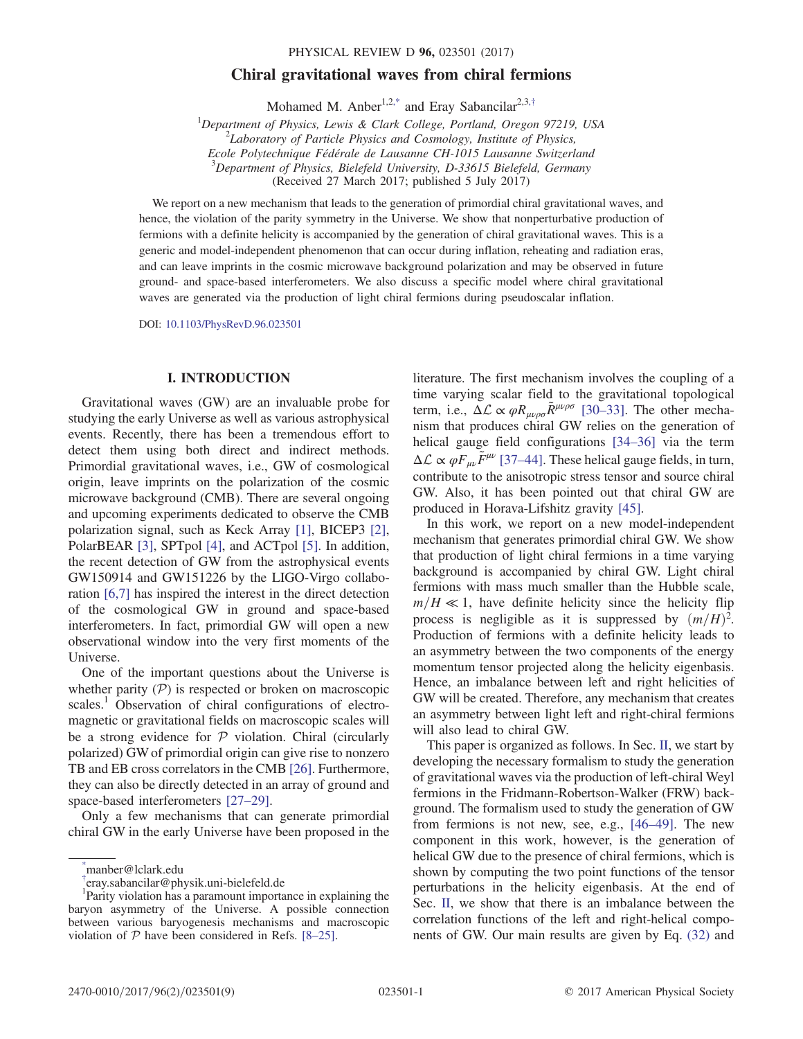## Chiral gravitational waves from chiral fermions

Mohamed M. Anber<sup>1,2[,\\*](#page-1-0)</sup> and Eray Sabancilar<sup>2,3,[†](#page-1-1)</sup>

<sup>1</sup>Department of Physics, Lewis & Clark College, Portland, Oregon 97219, USA  $\frac{27}{5}$  charatam of Barticle Physics and Cosmology, Institute of Physics.  $^{2}$ Laboratory of Particle Physics and Cosmology, Institute of Physics, Ecole Polytechnique Fédérale de Lausanne CH-1015 Lausanne Switzerland

 $3$ Department of Physics, Bielefeld University, D-33615 Bielefeld, Germany

(Received 27 March 2017; published 5 July 2017)

<span id="page-1-2"></span>We report on a new mechanism that leads to the generation of primordial chiral gravitational waves, and hence, the violation of the parity symmetry in the Universe. We show that nonperturbative production of fermions with a definite helicity is accompanied by the generation of chiral gravitational waves. This is a generic and model-independent phenomenon that can occur during inflation, reheating and radiation eras, and can leave imprints in the cosmic microwave background polarization and may be observed in future ground- and space-based interferometers. We also discuss a specific model where chiral gravitational waves are generated via the production of light chiral fermions during pseudoscalar inflation.

DOI: [10.1103/PhysRevD.96.023501](https://doi.org/10.1103/PhysRevD.96.023501)

#### I. INTRODUCTION

Gravitational waves (GW) are an invaluable probe for studying the early Universe as well as various astrophysical events. Recently, there has been a tremendous effort to detect them using both direct and indirect methods. Primordial gravitational waves, i.e., GW of cosmological origin, leave imprints on the polarization of the cosmic microwave background (CMB). There are several ongoing and upcoming experiments dedicated to observe the CMB polarization signal, such as Keck Array [\[1\]](#page-8-0), BICEP3 [\[2\]](#page-8-1), PolarBEAR [\[3\],](#page-8-2) SPTpol [\[4\]](#page-8-3), and ACTpol [\[5\].](#page-8-4) In addition, the recent detection of GW from the astrophysical events GW150914 and GW151226 by the LIGO-Virgo collaboration [\[6,7\]](#page-8-5) has inspired the interest in the direct detection of the cosmological GW in ground and space-based interferometers. In fact, primordial GW will open a new observational window into the very first moments of the Universe.

One of the important questions about the Universe is whether parity  $(\mathcal{P})$  is respected or broken on macroscopic scales.<sup>1</sup> Observation of chiral configurations of electromagnetic or gravitational fields on macroscopic scales will be a strong evidence for  $P$  violation. Chiral (circularly polarized) GW of primordial origin can give rise to nonzero TB and EB cross correlators in the CMB [\[26\].](#page-8-6) Furthermore, they can also be directly detected in an array of ground and space-based interferometers [\[27](#page-8-7)–29].

Only a few mechanisms that can generate primordial chiral GW in the early Universe have been proposed in the literature. The first mechanism involves the coupling of a time varying scalar field to the gravitational topological term, i.e.,  $\Delta \mathcal{L} \propto \varphi R_{\mu\nu\rho\sigma} \tilde{R}^{\mu\nu\rho\sigma}$  [\[30](#page-8-8)–33]. The other mechanism that produces chiral GW relies on the generation of helical gauge field configurations [\[34](#page-9-0)–36] via the term  $\Delta \mathcal{L} \propto \varphi F_{\mu\nu} \tilde{F}^{\mu\nu}$  [\[37](#page-9-1)–44]. These helical gauge fields, in turn, contribute to the anisotropic stress tensor and source chiral GW. Also, it has been pointed out that chiral GW are produced in Horava-Lifshitz gravity [\[45\].](#page-9-2)

In this work, we report on a new model-independent mechanism that generates primordial chiral GW. We show that production of light chiral fermions in a time varying background is accompanied by chiral GW. Light chiral fermions with mass much smaller than the Hubble scale,  $m/H \ll 1$ , have definite helicity since the helicity flip process is negligible as it is suppressed by  $(m/H)^2$ .<br>Production of fermions with a definite helicity leads to Production of fermions with a definite helicity leads to an asymmetry between the two components of the energy momentum tensor projected along the helicity eigenbasis. Hence, an imbalance between left and right helicities of GW will be created. Therefore, any mechanism that creates an asymmetry between light left and right-chiral fermions will also lead to chiral GW.

This paper is organized as follows. In Sec. [II,](#page-2-0) we start by developing the necessary formalism to study the generation of gravitational waves via the production of left-chiral Weyl fermions in the Fridmann-Robertson-Walker (FRW) background. The formalism used to study the generation of GW from fermions is not new, see, e.g., [46–[49\].](#page-9-3) The new component in this work, however, is the generation of helical GW due to the presence of chiral fermions, which is shown by computing the two point functions of the tensor perturbations in the helicity eigenbasis. At the end of Sec. [II,](#page-2-0) we show that there is an imbalance between the correlation functions of the left and right-helical components of GW. Our main results are given by Eq. [\(32\)](#page-5-0) and

<span id="page-1-0"></span>[<sup>\\*</sup>](#page-1-2) manber@lclark.edu

<span id="page-1-1"></span>[<sup>†</sup>](#page-1-2)eray.sabancilar@physik.uni-bielefeld.de<br><sup>1</sup>Perity violetion has a paramount importe

Parity violation has a paramount importance in explaining the baryon asymmetry of the Universe. A possible connection between various baryogenesis mechanisms and macroscopic violation of  $P$  have been considered in Refs. [8–[25\]](#page-8-9).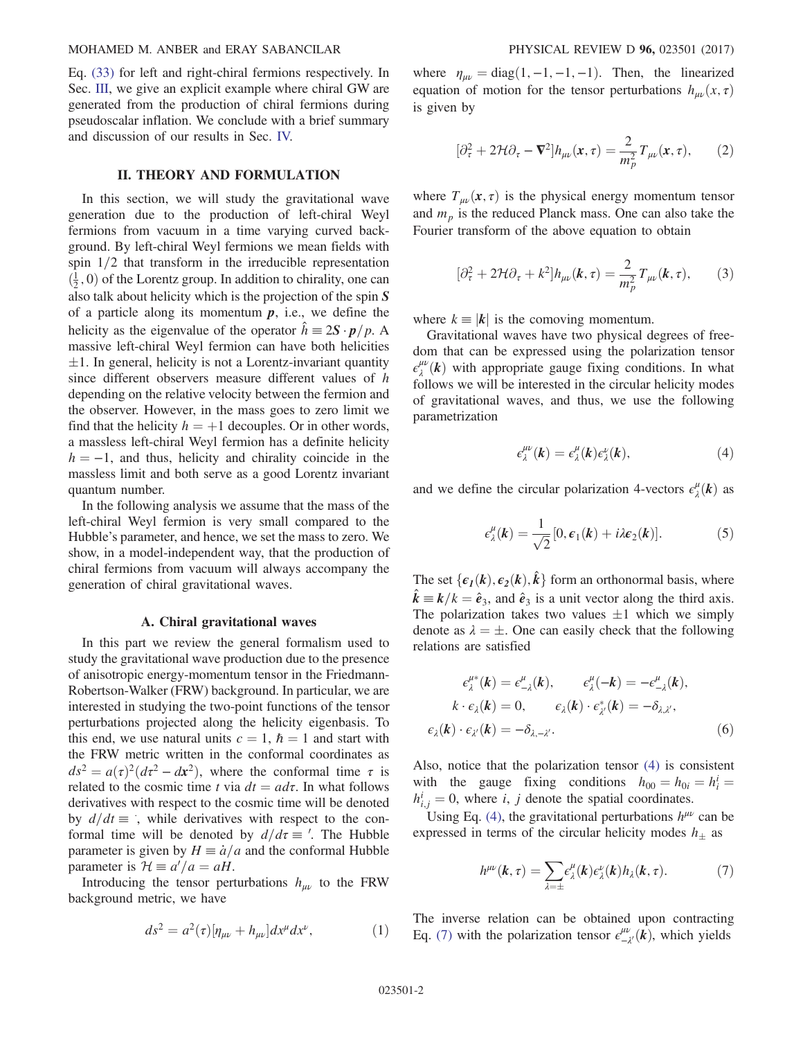Eq. [\(33\)](#page-5-1) for left and right-chiral fermions respectively. In Sec. [III,](#page-5-2) we give an explicit example where chiral GW are generated from the production of chiral fermions during pseudoscalar inflation. We conclude with a brief summary and discussion of our results in Sec. [IV.](#page-7-0)

#### II. THEORY AND FORMULATION

<span id="page-2-0"></span>In this section, we will study the gravitational wave generation due to the production of left-chiral Weyl fermions from vacuum in a time varying curved background. By left-chiral Weyl fermions we mean fields with spin  $1/2$  that transform in the irreducible representation  $(\frac{1}{2}, 0)$  of the Lorentz group. In addition to chirality, one can<br>also talk about helicity which is the projection of the spin S also talk about helicity which is the projection of the spin  $S$ of a particle along its momentum  $p$ , i.e., we define the helicity as the eigenvalue of the operator  $\hat{h} \equiv 2S \cdot p/p$ . A massive left-chiral Weyl fermion can have both helicities since different observers measure different values of h  $\pm 1$ . In general, helicity is not a Lorentz-invariant quantity depending on the relative velocity between the fermion and the observer. However, in the mass goes to zero limit we find that the helicity  $h = +1$  decouples. Or in other words, a massless left-chiral Weyl fermion has a definite helicity  $h = -1$ , and thus, helicity and chirality coincide in the massless limit and both serve as a good Lorentz invariant quantum number.

In the following analysis we assume that the mass of the left-chiral Weyl fermion is very small compared to the Hubble's parameter, and hence, we set the mass to zero. We show, in a model-independent way, that the production of chiral fermions from vacuum will always accompany the generation of chiral gravitational waves.

#### A. Chiral gravitational waves

In this part we review the general formalism used to study the gravitational wave production due to the presence of anisotropic energy-momentum tensor in the Friedmann-Robertson-Walker (FRW) background. In particular, we are interested in studying the two-point functions of the tensor perturbations projected along the helicity eigenbasis. To this end, we use natural units  $c = 1$ ,  $\hbar = 1$  and start with the FRW metric written in the conformal coordinates as  $ds^2 = a(\tau)^2(d\tau^2 - d\mathbf{x}^2)$ , where the conformal time  $\tau$  is related to the cosmic time t via  $dt = a d\tau$ . In what follows derivatives with respect to the cosmic time will be denoted by  $d/dt \equiv$ , while derivatives with respect to the conformal time will be denoted by  $d/d\tau \equiv$  '. The Hubble parameter is given by  $H = \dot{a}/a$  and the conformal Hubble parameter is  $\mathcal{H} \equiv a'/a = aH$ .<br>Introducing the tensor per

Introducing the tensor perturbations  $h_{\mu\nu}$  to the FRW background metric, we have

$$
ds^2 = a^2(\tau)[\eta_{\mu\nu} + h_{\mu\nu}]dx^{\mu}dx^{\nu}, \qquad (1)
$$

where  $\eta_{\mu\nu} = \text{diag}(1, -1, -1, -1)$ . Then, the linearized equation of motion for the tensor perturbations  $h_{uv}(x, \tau)$ is given by

$$
[\partial_{\tau}^2 + 2\mathcal{H}\partial_{\tau} - \mathbf{\nabla}^2] h_{\mu\nu}(\mathbf{x}, \tau) = \frac{2}{m_p^2} T_{\mu\nu}(\mathbf{x}, \tau), \qquad (2)
$$

<span id="page-2-3"></span>where  $T_{\mu\nu}(\mathbf{x}, \tau)$  is the physical energy momentum tensor and  $m_p$  is the reduced Planck mass. One can also take the Fourier transform of the above equation to obtain

$$
[\partial_{\tau}^2 + 2\mathcal{H}\partial_{\tau} + k^2]h_{\mu\nu}(\mathbf{k}, \tau) = \frac{2}{m_p^2}T_{\mu\nu}(\mathbf{k}, \tau), \qquad (3)
$$

where  $k \equiv |\mathbf{k}|$  is the comoving momentum.

<span id="page-2-1"></span>Gravitational waves have two physical degrees of freedom that can be expressed using the polarization tensor  $\epsilon_{\lambda}^{\mu\nu}(k)$  with appropriate gauge fixing conditions. In what<br>follows we will be interested in the circular helicity modes follows we will be interested in the circular helicity modes of gravitational waves, and thus, we use the following parametrization

$$
\epsilon_{\lambda}^{\mu\nu}(k) = \epsilon_{\lambda}^{\mu}(k)\epsilon_{\lambda}^{\nu}(k), \qquad (4)
$$

and we define the circular polarization 4-vectors  $\epsilon^{\mu}_{\lambda}(\mathbf{k})$  as

$$
\epsilon_{\lambda}^{\mu}(\mathbf{k}) = \frac{1}{\sqrt{2}} [0, \epsilon_1(\mathbf{k}) + i\lambda \epsilon_2(\mathbf{k})]. \tag{5}
$$

The set  $\{\epsilon_1(k), \epsilon_2(k), \hat{k}\}$  form an orthonormal basis, where  $\hat{k} = k/l_c = \hat{s}$ , and  $\hat{s}$ , is a unit vector along the third axis  $\hat{k} = k/k = \hat{e}_3$ , and  $\hat{e}_3$  is a unit vector along the third axis.<br>The polarization takes two values +1 which we simply The polarization takes two values  $\pm 1$  which we simply denote as  $\lambda = +$  One can easily check that the following denote as  $\lambda = \pm$ . One can easily check that the following relations are satisfied relations are satisfied

$$
\epsilon_{\lambda}^{\mu*}(k) = \epsilon_{-\lambda}^{\mu}(k), \qquad \epsilon_{\lambda}^{\mu}(-k) = -\epsilon_{-\lambda}^{\mu}(k),
$$

$$
k \cdot \epsilon_{\lambda}(k) = 0, \qquad \epsilon_{\lambda}(k) \cdot \epsilon_{\lambda'}^*(k) = -\delta_{\lambda,\lambda'},
$$

$$
\epsilon_{\lambda}(k) \cdot \epsilon_{\lambda'}(k) = -\delta_{\lambda,-\lambda'}.
$$
(6)

<span id="page-2-2"></span>Also, notice that the polarization tensor [\(4\)](#page-2-1) is consistent with the gauge fixing conditions  $h_{00} = h_{0i} = h_i^i = h_i^i = 0$  where *i i* denote the spatial coordinates  $h_{i,j}^i = 0$ , where i, j denote the spatial coordinates.<br>Using Eq. (4), the gravitational perturbations  $h^{\mu\nu}$ 

Using Eq. [\(4\),](#page-2-1) the gravitational perturbations  $h^{\mu\nu}$  can be expressed in terms of the circular helicity modes  $h_{\pm}$  as

$$
h^{\mu\nu}(k,\tau) = \sum_{\lambda=\pm} \epsilon^{\mu}_{\lambda}(k) \epsilon^{\nu}_{\lambda}(k) h_{\lambda}(k,\tau). \tag{7}
$$

The inverse relation can be obtained upon contracting Eq. [\(7\)](#page-2-2) with the polarization tensor  $\epsilon_{-\lambda'}^{\mu\nu}(\vec{k})$ , which yields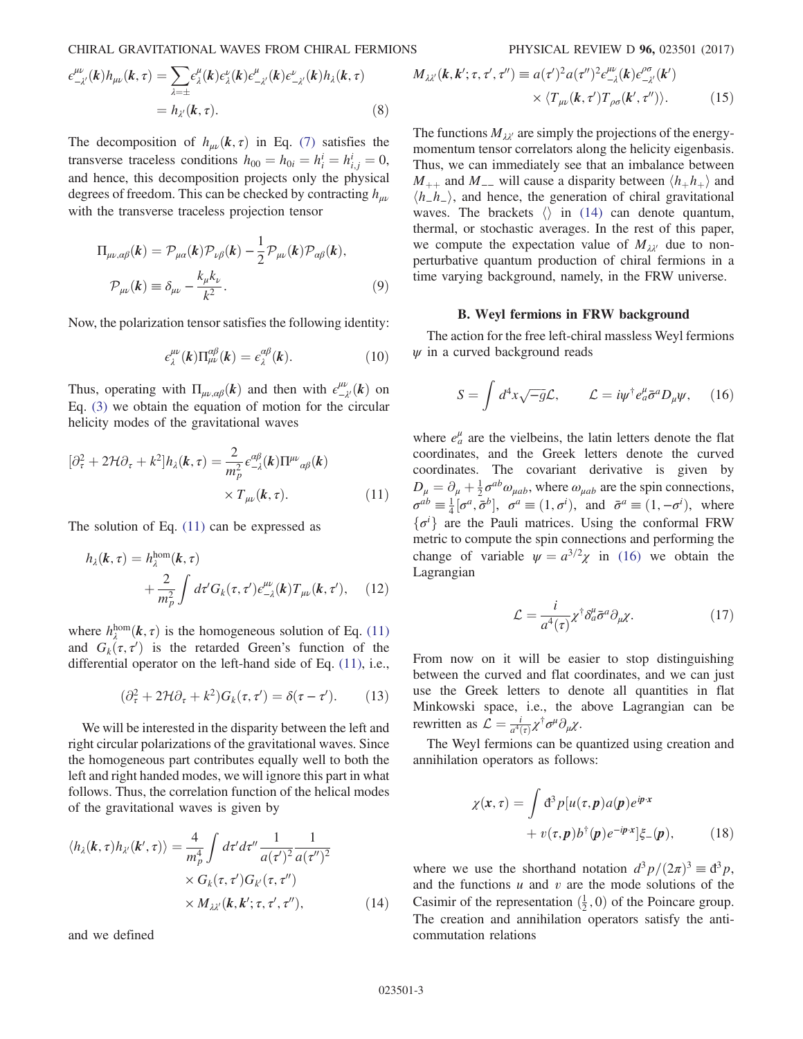CHIRAL GRAVITATIONAL WAVES FROM CHIRAL FERMIONS PHYSICAL REVIEW D 96, 023501 (2017)

$$
\epsilon^{\mu\nu}_{-\lambda'}(\boldsymbol{k})h_{\mu\nu}(\boldsymbol{k},\tau) = \sum_{\lambda=\pm} \epsilon^{\mu}_{\lambda}(\boldsymbol{k})\epsilon^{\nu}_{\lambda}(\boldsymbol{k})\epsilon^{\mu}_{-\lambda'}(\boldsymbol{k})\epsilon^{\nu}_{-\lambda'}(\boldsymbol{k})h_{\lambda}(\boldsymbol{k},\tau)
$$

$$
= h_{\lambda'}(\boldsymbol{k},\tau).
$$
(8)

The decomposition of  $h_{\mu\nu}(k, \tau)$  in Eq. [\(7\)](#page-2-2) satisfies the transverse traceless conditions  $h_{00} = h_{0i} = h_i^i = h_{i,j}^i = 0$ ,<br>and hones this decomposition projects only the physical and hence, this decomposition projects only the physical degrees of freedom. This can be checked by contracting  $h_{\mu\nu}$ with the transverse traceless projection tensor

$$
\Pi_{\mu\nu,\alpha\beta}(\mathbf{k}) = \mathcal{P}_{\mu\alpha}(\mathbf{k}) \mathcal{P}_{\nu\beta}(\mathbf{k}) - \frac{1}{2} \mathcal{P}_{\mu\nu}(\mathbf{k}) \mathcal{P}_{\alpha\beta}(\mathbf{k}),
$$
\n
$$
\mathcal{P}_{\mu\nu}(\mathbf{k}) \equiv \delta_{\mu\nu} - \frac{k_{\mu}k_{\nu}}{k^{2}}.
$$
\n(9)

Now, the polarization tensor satisfies the following identity:

$$
\epsilon_{\lambda}^{\mu\nu}(k)\Pi_{\mu\nu}^{\alpha\beta}(k) = \epsilon_{\lambda}^{\alpha\beta}(k). \tag{10}
$$

<span id="page-3-0"></span>Thus, operating with  $\Pi_{\mu\nu,\alpha\beta}(\mathbf{k})$  and then with  $\epsilon^{\mu\nu}_{-\lambda'}(\mathbf{k})$  on<br>Eq. (3) we obtain the equation of motion for the circular Eq. [\(3\)](#page-2-3) we obtain the equation of motion for the circular helicity modes of the gravitational waves

$$
[\partial_{\tau}^{2} + 2\mathcal{H}\partial_{\tau} + k^{2}]h_{\lambda}(\mathbf{k}, \tau) = \frac{2}{m_{p}^{2}} e_{-\lambda}^{\alpha\beta}(\mathbf{k})\Pi^{\mu\nu}{}_{\alpha\beta}(\mathbf{k})
$$

$$
\times T_{\mu\nu}(\mathbf{k}, \tau).
$$
 (11)

The solution of Eq. [\(11\)](#page-3-0) can be expressed as

$$
h_{\lambda}(\mathbf{k}, \tau) = h_{\lambda}^{\text{hom}}(\mathbf{k}, \tau)
$$
  
+ 
$$
\frac{2}{m_p^2} \int d\tau' G_k(\tau, \tau') \epsilon_{-\lambda}^{\mu\nu}(\mathbf{k}) T_{\mu\nu}(\mathbf{k}, \tau'), \quad (12)
$$

where  $h_{\lambda}^{\text{hom}}(k, \tau)$  is the homogeneous solution of Eq. [\(11\)](#page-3-0)<br>and  $G_1(\tau, \tau')$  is the retarded Green's function of the and  $G_k(\tau, \tau')$  is the retarded Green's function of the differential operator on the left-hand side of Eq. (11) i.e. differential operator on the left-hand side of Eq. [\(11\),](#page-3-0) i.e.,

$$
(\partial_{\tau}^{2} + 2\mathcal{H}\partial_{\tau} + k^{2})G_{k}(\tau, \tau') = \delta(\tau - \tau'). \qquad (13)
$$

We will be interested in the disparity between the left and right circular polarizations of the gravitational waves. Since the homogeneous part contributes equally well to both the left and right handed modes, we will ignore this part in what follows. Thus, the correlation function of the helical modes of the gravitational waves is given by

<span id="page-3-1"></span>
$$
\langle h_{\lambda}(\boldsymbol{k},\tau)h_{\lambda'}(\boldsymbol{k}',\tau)\rangle = \frac{4}{m_p^4} \int d\tau' d\tau'' \frac{1}{a(\tau')^2} \frac{1}{a(\tau'')^2} \times G_k(\tau,\tau') G_{k'}(\tau,\tau'')
$$
  
 
$$
\times M_{\lambda\lambda'}(\boldsymbol{k},\boldsymbol{k}';\tau,\tau',\tau''), \qquad (14)
$$

and we defined

$$
M_{\lambda\lambda'}(\mathbf{k}, \mathbf{k}'; \tau, \tau', \tau'') \equiv a(\tau')^2 a(\tau'')^2 \epsilon_{-\lambda}^{\mu\nu}(\mathbf{k}) \epsilon_{-\lambda'}^{\rho\sigma}(\mathbf{k}') \times \langle T_{\mu\nu}(\mathbf{k}, \tau') T_{\rho\sigma}(\mathbf{k}', \tau'') \rangle.
$$
 (15)

The functions 
$$
M_{\lambda\lambda'}
$$
 are simply the projections of the energy-  
momentum tensor correlators along the helicity eigenbasis.  
Thus, we can immediately see that an imbalance between  $M_{++}$  and  $M_{--}$  will cause a disparity between  $\langle h_+h_+\rangle$  and  $\langle h_-h_-\rangle$ , and hence, the generation of chiral gravitational waves. The brackets  $\langle\rangle$  in (14) can denote quantum, thermal, or stochastic averages. In the rest of this paper, we compute the expectation value of  $M_{\lambda\lambda'}$  due to non-perturbative quantum production of chiral fermions in a time varying background, namely, in the FRW universe.

#### B. Weyl fermions in FRW background

<span id="page-3-2"></span>The action for the free left-chiral massless Weyl fermions  $\psi$  in a curved background reads

$$
S = \int d^4x \sqrt{-g} \mathcal{L}, \qquad \mathcal{L} = i\psi^\dagger e_a^\mu \bar{\sigma}^a D_\mu \psi, \quad (16)
$$

where  $e^{\mu}_{a}$  are the vielbeins, the latin letters denote the flat coordinates, and the Greek letters denote the curved coordinates. The covariant derivative is given by  $D_{\mu} = \partial_{\mu} + \frac{1}{2}\sigma^{ab}\omega_{\mu ab}$ , where  $\omega_{\mu ab}$  are the spin connections,  $\sigma^{ab} = \frac{1}{4} [\sigma^a, \bar{\sigma}^b], \quad \sigma^a \equiv (1, \sigma^i), \text{ and } \bar{\sigma}^a \equiv (1, -\sigma^i), \text{ where}$  $\{\sigma^i\}$  are the Pauli matrices. Using the conformal FRW<br>metric to compute the spin connections and performing the metric to compute the spin connections and performing the change of variable  $\psi = a^{3/2}\chi$  in [\(16\)](#page-3-2) we obtain the Lagrangian

$$
\mathcal{L} = \frac{i}{a^4(\tau)} \chi^{\dagger} \delta^{\mu}_{a} \bar{\sigma}^{a} \partial_{\mu} \chi. \tag{17}
$$

From now on it will be easier to stop distinguishing between the curved and flat coordinates, and we can just use the Greek letters to denote all quantities in flat Minkowski space, i.e., the above Lagrangian can be rewritten as  $\mathcal{L} = \frac{i}{a^4(\tau)} \chi^{\dagger} \sigma^{\mu} \partial_{\mu} \chi$ .<br>The Wayl formions can be a

<span id="page-3-3"></span>The Weyl fermions can be quantized using creation and annihilation operators as follows:

$$
\chi(x,\tau) = \int d^3p [u(\tau,\mathbf{p})a(\mathbf{p})e^{i\mathbf{p}\cdot\mathbf{x}} + v(\tau,\mathbf{p})b^{\dagger}(\mathbf{p})e^{-i\mathbf{p}\cdot\mathbf{x}}]\xi_{-}(\mathbf{p}),
$$
 (18)

where we use the shorthand notation  $d^3 p/(2\pi)^3 \equiv d^3 p$ , and the functions  $u$  and  $v$  are the mode solutions of the Casimir of the representation  $(\frac{1}{2}, 0)$  of the Poincare group.<br>The creation and annihilation operators satisfy the anti-The creation and annihilation operators satisfy the anticommutation relations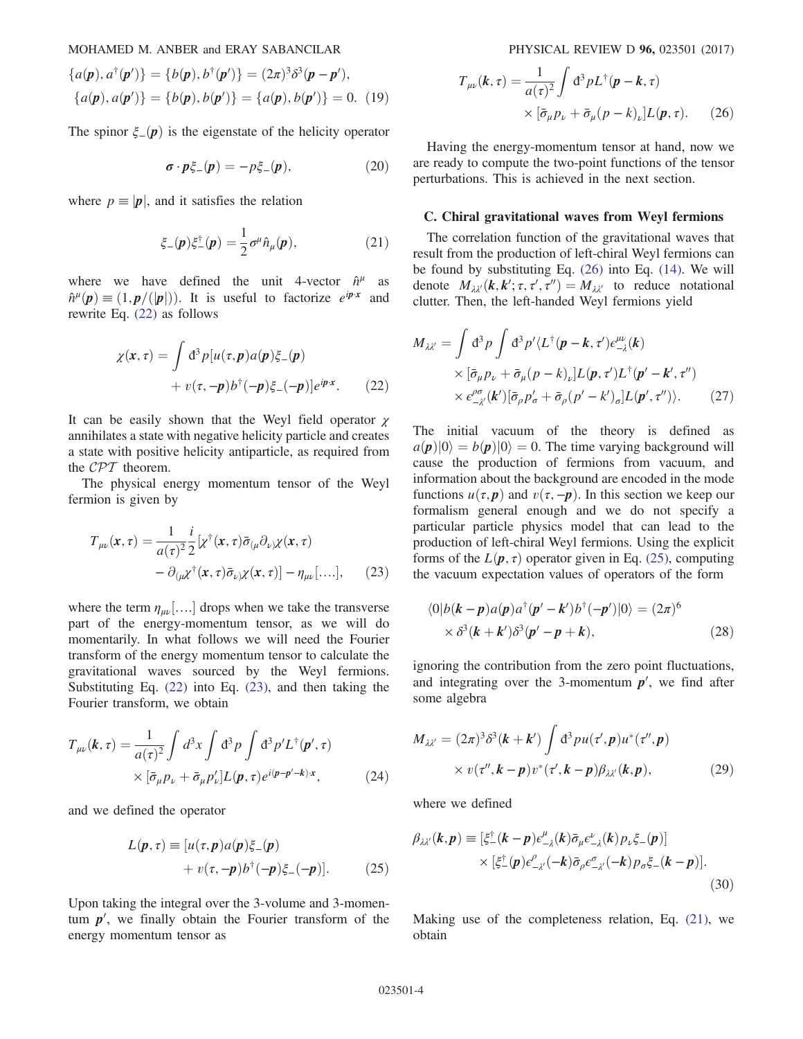$$
\{a(\mathbf{p}), a^{\dagger}(\mathbf{p}')\} = \{b(\mathbf{p}), b^{\dagger}(\mathbf{p}')\} = (2\pi)^3 \delta^3(\mathbf{p} - \mathbf{p}'),
$$
  

$$
\{a(\mathbf{p}), a(\mathbf{p}')\} = \{b(\mathbf{p}), b(\mathbf{p}')\} = \{a(\mathbf{p}), b(\mathbf{p}')\} = 0.
$$
 (19)

The spinor  $\xi_{-}(\mathbf{p})$  is the eigenstate of the helicity operator

$$
\boldsymbol{\sigma} \cdot \boldsymbol{p} \xi_{-}(\boldsymbol{p}) = -p \xi_{-}(\boldsymbol{p}), \qquad (20)
$$

<span id="page-4-4"></span>where  $p \equiv |\mathbf{p}|$ , and it satisfies the relation

$$
\xi_{-}(\boldsymbol{p})\xi_{-}^{\dagger}(\boldsymbol{p})=\frac{1}{2}\sigma^{\mu}\hat{n}_{\mu}(\boldsymbol{p}),\qquad(21)
$$

<span id="page-4-0"></span>where we have defined the unit 4-vector  $\hat{n}^{\mu}$  as  $\hat{n}^{\mu}(\mathbf{p}) \equiv (1, \mathbf{p}/(|\mathbf{p}|))$ . It is useful to factorize  $e^{i\mathbf{p}\cdot\mathbf{x}}$  and rewrite Eq. [\(22\)](#page-4-0) as follows

$$
\chi(x,\tau) = \int d^3p [u(\tau,\mathbf{p})a(\mathbf{p})\xi_{-}(\mathbf{p}) + v(\tau,-\mathbf{p})b^{\dagger}(-\mathbf{p})\xi_{-}(-\mathbf{p})]e^{i\mathbf{p}\cdot\mathbf{x}}.
$$
 (22)

It can be easily shown that the Weyl field operator  $\chi$ annihilates a state with negative helicity particle and creates a state with positive helicity antiparticle, as required from the CPT theorem.

<span id="page-4-1"></span>The physical energy momentum tensor of the Weyl fermion is given by

$$
T_{\mu\nu}(\mathbf{x}, \tau) = \frac{1}{a(\tau)^2} \frac{i}{2} \left[ \chi^{\dagger}(\mathbf{x}, \tau) \bar{\sigma}_{(\mu} \partial_{\nu)} \chi(\mathbf{x}, \tau) - \partial_{(\mu} \chi^{\dagger}(\mathbf{x}, \tau) \bar{\sigma}_{\nu)} \chi(\mathbf{x}, \tau) \right] - \eta_{\mu\nu}[\dots], \quad (23)
$$

where the term  $\eta_{\mu\nu}$ [....] drops when we take the transverse part of the energy-momentum tensor, as we will do momentarily. In what follows we will need the Fourier transform of the energy momentum tensor to calculate the gravitational waves sourced by the Weyl fermions. Substituting Eq. [\(22\)](#page-4-0) into Eq. [\(23\)](#page-4-1), and then taking the Fourier transform, we obtain

<span id="page-4-3"></span>
$$
T_{\mu\nu}(k,\tau) = \frac{1}{a(\tau)^2} \int d^3x \int d^3p \int d^3p' L^{\dagger}(p',\tau)
$$
  
 
$$
\times [\bar{\sigma}_{\mu} p_{\nu} + \bar{\sigma}_{\mu} p'_{\nu}] L(p,\tau) e^{i(p-p'-k)x}, \qquad (24)
$$

and we defined the operator

$$
L(p, \tau) \equiv [u(\tau, p)a(p)\xi_{-}(p) + v(\tau, -p)b^{\dagger}(-p)\xi_{-}(-p)]. \qquad (25)
$$

<span id="page-4-2"></span>Upon taking the integral over the 3-volume and 3-momentum  $p'$ , we finally obtain the Fourier transform of the energy momentum tensor as

$$
T_{\mu\nu}(k,\tau) = \frac{1}{a(\tau)^2} \int d^3 p L^{\dagger}(\mathbf{p} - \mathbf{k}, \tau)
$$

$$
\times [\bar{\sigma}_{\mu} p_{\nu} + \bar{\sigma}_{\mu} (p - k)_{\nu}] L(\mathbf{p}, \tau). \qquad (26)
$$

Having the energy-momentum tensor at hand, now we are ready to compute the two-point functions of the tensor perturbations. This is achieved in the next section.

#### C. Chiral gravitational waves from Weyl fermions

The correlation function of the gravitational waves that result from the production of left-chiral Weyl fermions can be found by substituting Eq. [\(26\)](#page-4-2) into Eq. [\(14\).](#page-3-1) We will denote  $M_{\lambda\lambda'}(k, k'; \tau, \tau', \tau'') = M_{\lambda\lambda'}$  to reduce notational<br>clutter Then the left-handed Weyl fermions yield clutter. Then, the left-handed Weyl fermions yield

$$
M_{\lambda\lambda'} = \int d^3p \int d^3p' \langle L^{\dagger}(\mathbf{p} - \mathbf{k}, \tau') \epsilon^{\mu\nu}_{-\lambda}(\mathbf{k})
$$
  
 
$$
\times [\bar{\sigma}_{\mu} p_{\nu} + \bar{\sigma}_{\mu} (p - k)_{\nu}] L(\mathbf{p}, \tau') L^{\dagger}(\mathbf{p}' - \mathbf{k}', \tau'')
$$
  
 
$$
\times \epsilon^{\rho\sigma}_{-\lambda'}(\mathbf{k}') [\bar{\sigma}_{\rho} p'_{\sigma} + \bar{\sigma}_{\rho} (p' - k')_{\sigma}] L(\mathbf{p}', \tau'') \rangle. \tag{27}
$$

The initial vacuum of the theory is defined as  $a(\mathbf{p})|0\rangle = b(\mathbf{p})|0\rangle = 0$ . The time varying background will cause the production of fermions from vacuum, and information about the background are encoded in the mode functions  $u(\tau, p)$  and  $v(\tau, -p)$ . In this section we keep our formalism general enough and we do not specify a particular particle physics model that can lead to the production of left-chiral Weyl fermions. Using the explicit forms of the  $L(\mathbf{p}, \tau)$  operator given in Eq. [\(25\),](#page-4-3) computing the vacuum expectation values of operators of the form

$$
\langle 0|b(\mathbf{k}-\mathbf{p})a(\mathbf{p})a^{\dagger}(\mathbf{p'}-\mathbf{k'})b^{\dagger}(-\mathbf{p'})|0\rangle = (2\pi)^6
$$
  
 
$$
\times \delta^3(\mathbf{k}+\mathbf{k'})\delta^3(\mathbf{p'}-\mathbf{p}+\mathbf{k}), \qquad (28)
$$

ignoring the contribution from the zero point fluctuations, and integrating over the 3-momentum  $p'$ , we find after some algebra

$$
M_{\lambda\lambda'} = (2\pi)^3 \delta^3(\mathbf{k} + \mathbf{k}') \int d^3 p u(\tau', \mathbf{p}) u^*(\tau'', \mathbf{p})
$$
  
 
$$
\times v(\tau'', \mathbf{k} - \mathbf{p}) v^*(\tau', \mathbf{k} - \mathbf{p}) \beta_{\lambda\lambda'}(\mathbf{k}, \mathbf{p}),
$$
 (29)

where we defined

$$
\beta_{\lambda\lambda'}(\boldsymbol{k},\boldsymbol{p}) \equiv \left[\xi_{-}^{\dagger}(\boldsymbol{k}-\boldsymbol{p})\epsilon_{-\lambda}^{\mu}(\boldsymbol{k})\bar{\sigma}_{\mu}\epsilon_{-\lambda}^{\nu}(\boldsymbol{k})p_{\nu}\xi_{-}(\boldsymbol{p})\right] \times \left[\xi_{-}^{\dagger}(\boldsymbol{p})\epsilon_{-\lambda'}^{\rho}(-\boldsymbol{k})\bar{\sigma}_{\rho}\epsilon_{-\lambda'}^{\sigma}(-\boldsymbol{k})p_{\sigma}\xi_{-}(\boldsymbol{k}-\boldsymbol{p})\right].
$$
\n(30)

Making use of the completeness relation, Eq. [\(21\)](#page-4-4), we obtain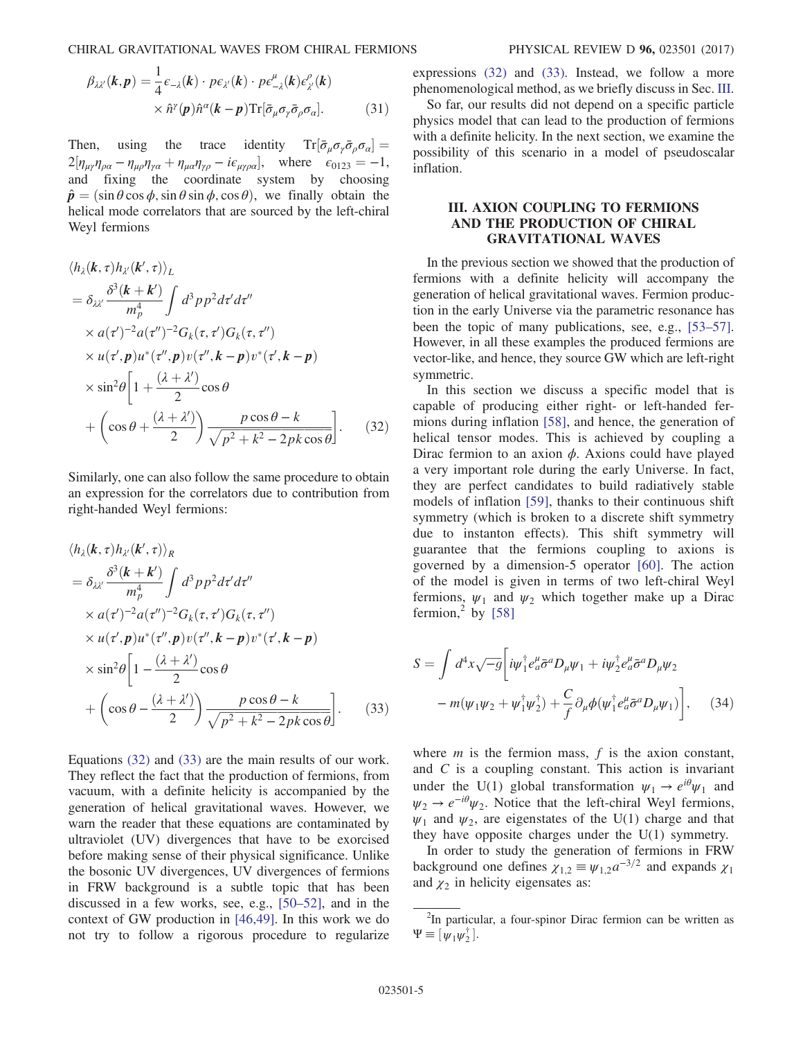CHIRAL GRAVITATIONAL WAVES FROM CHIRAL FERMIONS PHYSICAL REVIEW D 96, 023501 (2017)

$$
\beta_{\lambda\lambda'}(\boldsymbol{k},\boldsymbol{p}) = \frac{1}{4} \epsilon_{-\lambda}(\boldsymbol{k}) \cdot p \epsilon_{\lambda'}(\boldsymbol{k}) \cdot p \epsilon_{-\lambda}^{\mu}(\boldsymbol{k}) \epsilon_{\lambda'}^{\rho}(\boldsymbol{k}) \times \hat{n}^{\gamma}(\boldsymbol{p}) \hat{n}^{\alpha}(\boldsymbol{k}-\boldsymbol{p}) \text{Tr}[\bar{\sigma}_{\mu} \sigma_{\gamma} \bar{\sigma}_{\rho} \sigma_{\alpha}]. \tag{31}
$$

Then, using the trace identity  $Tr[\bar{\sigma}_{\mu}\sigma_{\gamma}\bar{\sigma}_{\rho}\sigma_{\alpha}] =$ <br>  $2\left[\mu \frac{\mu}{\mu} \frac{\partial}{\partial \rho}\sigma_{\mu}\right]$  where  $\sigma_{\mu} = 1$  $2[\eta_{\mu\gamma}\eta_{\rho\alpha} - \eta_{\mu\rho}\eta_{\gamma\alpha} + \eta_{\mu\alpha}\eta_{\gamma\rho} - i\epsilon_{\mu\gamma\rho\alpha}],$  where  $\epsilon_{0123} = -1$ , and fixing the coordinate system by choosing  $\hat{\mathbf{p}} = (\sin \theta \cos \phi, \sin \theta \sin \phi, \cos \theta)$ , we finally obtain the helical mode correlators that are sourced by the left-chiral Weyl fermions

<span id="page-5-0"></span>
$$
\langle h_{\lambda}(\boldsymbol{k},\tau)h_{\lambda'}(\boldsymbol{k}',\tau)\rangle_{L}
$$
\n
$$
= \delta_{\lambda\lambda'} \frac{\delta^{3}(\boldsymbol{k} + \boldsymbol{k}')}{m_{p}^{4}} \int d^{3}p p^{2} d\tau' d\tau''
$$
\n
$$
\times a(\tau')^{-2} a(\tau'')^{-2} G_{k}(\tau,\tau') G_{k}(\tau,\tau'')
$$
\n
$$
\times u(\tau',\boldsymbol{p})u^{*}(\tau'',\boldsymbol{p})v(\tau'',\boldsymbol{k}-\boldsymbol{p})v^{*}(\tau',\boldsymbol{k}-\boldsymbol{p})
$$
\n
$$
\times \sin^{2}\theta \left[1 + \frac{(\lambda + \lambda')}{2}\cos\theta\right]
$$
\n
$$
+ \left(\cos\theta + \frac{(\lambda + \lambda')}{2}\right) \frac{p\cos\theta - k}{\sqrt{p^{2} + k^{2} - 2pk\cos\theta}} \right].
$$
\n(32)

<span id="page-5-1"></span>Similarly, one can also follow the same procedure to obtain an expression for the correlators due to contribution from right-handed Weyl fermions:

$$
\langle h_{\lambda}(\mathbf{k},\tau)h_{\lambda'}(\mathbf{k}',\tau)\rangle_{R}
$$
\n
$$
= \delta_{\lambda\lambda'}\frac{\delta^{3}(\mathbf{k} + \mathbf{k}')}{m_{p}^{4}} \int d^{3}p p^{2} d\tau' d\tau''
$$
\n
$$
\times a(\tau')^{-2} a(\tau'')^{-2} G_{k}(\tau,\tau') G_{k}(\tau,\tau'')
$$
\n
$$
\times u(\tau',p)u^{*}(\tau'',p)v(\tau'',\mathbf{k}-p)v^{*}(\tau',\mathbf{k}-p)
$$
\n
$$
\times \sin^{2}\theta \left[1 - \frac{(\lambda + \lambda')}{2}\cos\theta\right]
$$
\n
$$
+ \left(\cos\theta - \frac{(\lambda + \lambda')}{2}\right) \frac{p\cos\theta - k}{\sqrt{p^{2} + k^{2} - 2pk\cos\theta}} \left.\right].
$$
\n(33)

Equations [\(32\)](#page-5-0) and [\(33\)](#page-5-1) are the main results of our work. They reflect the fact that the production of fermions, from vacuum, with a definite helicity is accompanied by the generation of helical gravitational waves. However, we warn the reader that these equations are contaminated by ultraviolet (UV) divergences that have to be exorcised before making sense of their physical significance. Unlike the bosonic UV divergences, UV divergences of fermions in FRW background is a subtle topic that has been discussed in a few works, see, e.g., [\[50](#page-9-4)–52], and in the context of GW production in [\[46,49\]](#page-9-3). In this work we do not try to follow a rigorous procedure to regularize expressions [\(32\)](#page-5-0) and [\(33\).](#page-5-1) Instead, we follow a more phenomenological method, as we briefly discuss in Sec. [III](#page-5-2).

So far, our results did not depend on a specific particle physics model that can lead to the production of fermions with a definite helicity. In the next section, we examine the possibility of this scenario in a model of pseudoscalar inflation.

## <span id="page-5-2"></span>III. AXION COUPLING TO FERMIONS AND THE PRODUCTION OF CHIRAL GRAVITATIONAL WAVES

In the previous section we showed that the production of fermions with a definite helicity will accompany the generation of helical gravitational waves. Fermion production in the early Universe via the parametric resonance has been the topic of many publications, see, e.g., [\[53](#page-9-5)–57]. However, in all these examples the produced fermions are vector-like, and hence, they source GW which are left-right symmetric.

In this section we discuss a specific model that is capable of producing either right- or left-handed fermions during inflation [\[58\]](#page-9-6), and hence, the generation of helical tensor modes. This is achieved by coupling a Dirac fermion to an axion  $\phi$ . Axions could have played a very important role during the early Universe. In fact, they are perfect candidates to build radiatively stable models of inflation [\[59\],](#page-9-7) thanks to their continuous shift symmetry (which is broken to a discrete shift symmetry due to instanton effects). This shift symmetry will guarantee that the fermions coupling to axions is governed by a dimension-5 operator [\[60\].](#page-9-8) The action of the model is given in terms of two left-chiral Weyl fermions,  $\psi_1$  and  $\psi_2$  which together make up a Dirac fermion,  $2$  by [\[58\]](#page-9-6)

<span id="page-5-4"></span>
$$
S = \int d^4x \sqrt{-g} \left[ i \psi_1^{\dagger} e_a^{\mu} \bar{\sigma}^a D_{\mu} \psi_1 + i \psi_2^{\dagger} e_a^{\mu} \bar{\sigma}^a D_{\mu} \psi_2 \right. \\ - m (\psi_1 \psi_2 + \psi_1^{\dagger} \psi_2^{\dagger}) + \frac{C}{f} \partial_{\mu} \phi (\psi_1^{\dagger} e_a^{\mu} \bar{\sigma}^a D_{\mu} \psi_1) \right], \quad (34)
$$

where  $m$  is the fermion mass,  $f$  is the axion constant, and C is a coupling constant. This action is invariant under the U(1) global transformation  $\psi_1 \rightarrow e^{i\theta} \psi_1$  and  $\psi_2 \rightarrow e^{-i\theta} \psi_2$ . Notice that the left-chiral Weyl fermions,  $\psi_1$  and  $\psi_2$ , are eigenstates of the U(1) charge and that they have opposite charges under the U(1) symmetry.

<span id="page-5-3"></span>In order to study the generation of fermions in FRW background one defines  $\chi_{1,2} \equiv \psi_{1,2} a^{-3/2}$  and expands  $\chi_1$ and  $\chi_2$  in helicity eigensates as:

 $2$ In particular, a four-spinor Dirac fermion can be written as  $\Psi \equiv [\psi_1 \psi_2^{\dagger}].$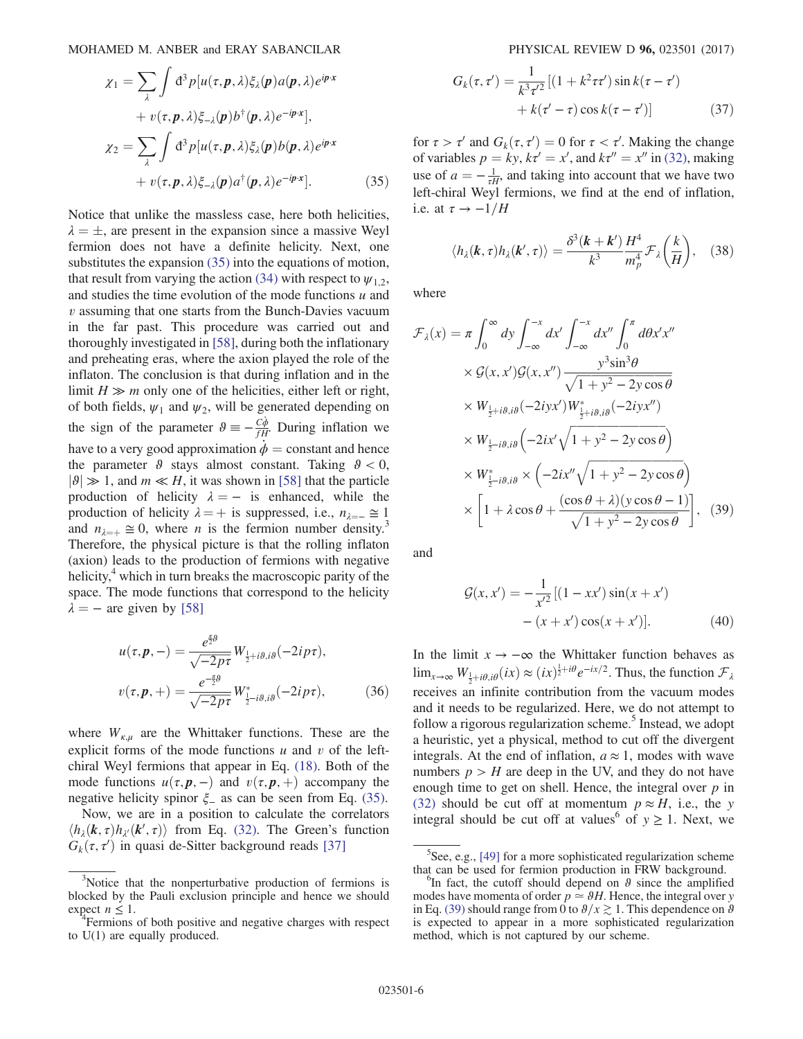$$
\chi_1 = \sum_{\lambda} \int d^3 p [u(\tau, \mathbf{p}, \lambda) \xi_{\lambda}(\mathbf{p}) a(\mathbf{p}, \lambda) e^{i\mathbf{p} \cdot \mathbf{x}} \n+ v(\tau, \mathbf{p}, \lambda) \xi_{-\lambda}(\mathbf{p}) b^{\dagger}(\mathbf{p}, \lambda) e^{-i\mathbf{p} \cdot \mathbf{x}}],
$$
\n
$$
\chi_2 = \sum_{\lambda} \int d^3 p [u(\tau, \mathbf{p}, \lambda) \xi_{\lambda}(\mathbf{p}) b(\mathbf{p}, \lambda) e^{i\mathbf{p} \cdot \mathbf{x}} \n+ v(\tau, \mathbf{p}, \lambda) \xi_{-\lambda}(\mathbf{p}) a^{\dagger}(\mathbf{p}, \lambda) e^{-i\mathbf{p} \cdot \mathbf{x}}].
$$
\n(35)

Notice that unlike the massless case, here both helicities,  $\lambda = \pm$ , are present in the expansion since a massive Weyl fermion, does not have a definite helicity. Next, one fermion does not have a definite helicity. Next, one substitutes the expansion [\(35\)](#page-5-3) into the equations of motion, that result from varying the action [\(34\)](#page-5-4) with respect to  $\psi_1$ , and studies the time evolution of the mode functions  $u$  and  $v$  assuming that one starts from the Bunch-Davies vacuum in the far past. This procedure was carried out and thoroughly investigated in [\[58\]](#page-9-6), during both the inflationary and preheating eras, where the axion played the role of the inflaton. The conclusion is that during inflation and in the limit  $H \gg m$  only one of the helicities, either left or right, of both fields,  $\psi_1$  and  $\psi_2$ , will be generated depending on the sign of the parameter  $\theta \equiv -\frac{C\dot{\phi}}{fH}$ . During inflation we have to a very good approximation  $\phi$  = constant and hence the parameter  $\theta$  stays almost constant. Taking  $\theta < 0$ ,  $|\vartheta| \gg 1$ , and  $m \ll H$ , it was shown in [\[58\]](#page-9-6) that the particle production of helicity  $\lambda = -$  is enhanced, while the production of helicity  $\lambda = +$  is suppressed, i.e.,  $n_{\lambda} = 1$ and  $n_{\lambda=+} \approx 0$ , where *n* is the fermion number density.<sup>3</sup> Therefore, the physical picture is that the rolling inflaton (axion) leads to the production of fermions with negative helicity, $4\pi$  which in turn breaks the macroscopic parity of the space. The mode functions that correspond to the helicity  $\lambda = -$  are given by [\[58\]](#page-9-6)

$$
u(\tau, \mathbf{p}, -) = \frac{e^{\frac{\pi}{2}\theta}}{\sqrt{-2p\tau}} W_{\frac{1}{2} + i\theta, i\theta}(-2ip\tau),
$$
  

$$
v(\tau, \mathbf{p}, +) = \frac{e^{-\frac{\pi}{2}\theta}}{\sqrt{-2p\tau}} W_{\frac{1}{2} - i\theta, i\theta}^*(-2ip\tau),
$$
 (36)

where  $W_{\kappa,\mu}$  are the Whittaker functions. These are the explicit forms of the mode functions  $u$  and  $v$  of the leftchiral Weyl fermions that appear in Eq. [\(18\).](#page-3-3) Both of the mode functions  $u(\tau, \mathbf{p},-)$  and  $v(\tau, \mathbf{p},+)$  accompany the negative helicity spinor  $\xi$  as can be seen from Eq. [\(35\)](#page-5-3).

Now, we are in a position to calculate the correlators  $\langle h_{\lambda}(\mathbf{k}, \tau) h_{\lambda}(\mathbf{k}', \tau) \rangle$  from Eq. [\(32\).](#page-5-0) The Green's function  $G_{\lambda}(\tau, \tau')$  in quasi de-Sitter background reads [37]  $G_k(\tau, \tau')$  in quasi de-Sitter background reads [\[37\]](#page-9-1)

$$
G_k(\tau, \tau') = \frac{1}{k^3 \tau'^2} \left[ (1 + k^2 \tau \tau') \sin k(\tau - \tau') + k(\tau' - \tau) \cos k(\tau - \tau') \right]
$$
(37)

for  $\tau > \tau'$  and  $G_k(\tau, \tau') = 0$  for  $\tau < \tau'$ . Making the change<br>of variables  $n = kv$ ,  $k\tau' = r'$  and  $k\tau'' = r''$  in (32) making of variables  $p = ky$ ,  $k\tau' = x'$ , and  $k\tau'' = x''$  in [\(32\),](#page-5-0) making<br>use of  $a = -\frac{1}{\sqrt{2}}$  and taking into account that we have two use of  $a = -\frac{1}{\tau H}$ , and taking into account that we have two left chiral Weyl fermions, we find at the end of inflation left-chiral Weyl fermions, we find at the end of inflation, i.e. at  $\tau \rightarrow -1/H$ 

$$
\langle h_{\lambda}(\boldsymbol{k},\tau)h_{\lambda}(\boldsymbol{k}',\tau)\rangle = \frac{\delta^{3}(\boldsymbol{k}+\boldsymbol{k}')}{k^{3}}\frac{H^{4}}{m_{p}^{4}}\mathcal{F}_{\lambda}\bigg(\frac{k}{H}\bigg),\quad(38)
$$

<span id="page-6-0"></span>where

$$
\mathcal{F}_{\lambda}(x) = \pi \int_0^{\infty} dy \int_{-\infty}^{-x} dx' \int_{-\infty}^{-x} dx'' \int_0^{\pi} d\theta x' x''
$$
  
\n
$$
\times \mathcal{G}(x, x') \mathcal{G}(x, x'') \frac{y^3 \sin^3 \theta}{\sqrt{1 + y^2 - 2y \cos \theta}}
$$
  
\n
$$
\times W_{\frac{1}{2} + i\theta, i\theta}(-2iyx') W_{\frac{1}{2} + i\theta, i\theta}^*(-2iyx'')
$$
  
\n
$$
\times W_{\frac{1}{2} - i\theta, i\theta} \left(-2ix'\sqrt{1 + y^2 - 2y \cos \theta}\right)
$$
  
\n
$$
\times W_{\frac{1}{2} - i\theta, i\theta}^* \times \left(-2ix''\sqrt{1 + y^2 - 2y \cos \theta}\right)
$$
  
\n
$$
\times \left[1 + \lambda \cos \theta + \frac{(\cos \theta + \lambda)(y \cos \theta - 1)}{\sqrt{1 + y^2 - 2y \cos \theta}}\right], \quad (39)
$$

and

$$
\mathcal{G}(x, x') = -\frac{1}{x'^2} [(1 - xx')\sin(x + x') - (x + x')\cos(x + x')].
$$
\n(40)

In the limit  $x \rightarrow -\infty$  the Whittaker function behaves as  $\lim_{x\to\infty} W_{\frac{1}{2}+i\theta,i\theta}(ix) \approx (ix)^{\frac{1}{2}+i\theta} e^{-ix/2}$ . Thus, the function  $\mathcal{F}_{\lambda}$ receives an infinite contribution from the vacuum modes and it needs to be regularized. Here, we do not attempt to follow a rigorous regularization scheme.<sup>5</sup> Instead, we adopt a heuristic, yet a physical, method to cut off the divergent integrals. At the end of inflation,  $a \approx 1$ , modes with wave numbers  $p > H$  are deep in the UV, and they do not have enough time to get on shell. Hence, the integral over  $p$  in [\(32\)](#page-5-0) should be cut off at momentum  $p \approx H$ , i.e., the y integral should be cut off at values<sup>6</sup> of  $y \ge 1$ . Next, we

<sup>&</sup>lt;sup>3</sup>Notice that the nonperturbative production of fermions is blocked by the Pauli exclusion principle and hence we should expect  $n \leq 1$ .

Fermions of both positive and negative charges with respect to U(1) are equally produced.

 ${}^{5}$ See, e.g., [\[49\]](#page-9-9) for a more sophisticated regularization scheme that can be used for fermion production in FRW background. <sup>6</sup>

<sup>&</sup>lt;sup>6</sup>In fact, the cutoff should depend on  $\theta$  since the amplified modes have momenta of order  $p \approx \theta H$ . Hence, the integral over y in Eq. [\(39\)](#page-6-0) should range from 0 to  $\theta/x \gtrsim 1$ . This dependence on  $\theta$ is expected to appear in a more sophisticated regularization method, which is not captured by our scheme.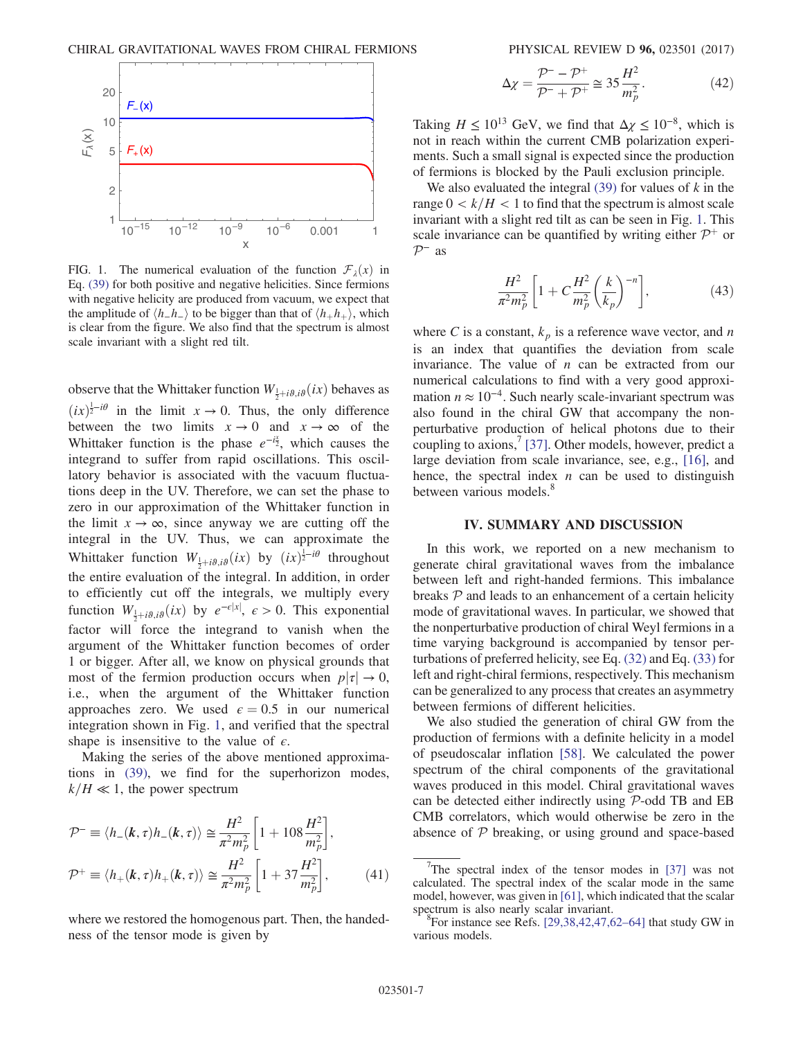<span id="page-7-1"></span>

FIG. 1. The numerical evaluation of the function  $\mathcal{F}_{\lambda}(x)$  in Eq. [\(39\)](#page-6-0) for both positive and negative helicities. Since fermions with negative helicity are produced from vacuum, we expect that the amplitude of  $\langle h_h-h_+ \rangle$  to be bigger than that of  $\langle h_+h_+ \rangle$ , which is clear from the figure. We also find that the spectrum is almost scale invariant with a slight red tilt.

observe that the Whittaker function  $W_{\frac{1}{2}+i\theta,i\theta}(ix)$  behaves as  $(ix)^{\frac{1}{2}-i\theta}$  in the limit  $x \to 0$ . Thus, the only difference<br>between the two limits  $x \to 0$  and  $x \to \infty$  of the between the two limits  $x \to 0$  and  $x \to \infty$  of the Whittaker function is the phase  $e^{-i\frac{x}{2}}$ , which causes the integrand to suffer from rapid oscillations. This oscillatory behavior is associated with the vacuum fluctuations deep in the UV. Therefore, we can set the phase to zero in our approximation of the Whittaker function in the limit  $x \to \infty$ , since anyway we are cutting off the integral in the UV. Thus, we can approximate the Whittaker function  $W_{\frac{1}{2}+i\theta,i\theta}(ix)$  by  $(ix)^{\frac{1}{2}-i\theta}$  throughout the entire evaluation of the integral. In addition, in order to efficiently cut off the integrals, we multiply every function  $W_{\frac{1}{2}+i\theta,i\theta}(ix)$  by  $e^{-\epsilon|x|}, \epsilon > 0$ . This exponential factor will force the integrand to vanish when the argument of the Whittaker function becomes of order 1 or bigger. After all, we know on physical grounds that most of the fermion production occurs when  $p|\tau| \to 0$ , i.e., when the argument of the Whittaker function approaches zero. We used  $\epsilon = 0.5$  in our numerical integration shown in Fig. [1,](#page-7-1) and verified that the spectral shape is insensitive to the value of  $\epsilon$ .

Making the series of the above mentioned approximations in [\(39\)](#page-6-0), we find for the superhorizon modes,  $k/H \ll 1$ , the power spectrum

$$
\mathcal{P}^- \equiv \langle h_-(\mathbf{k}, \tau) h_-(\mathbf{k}, \tau) \rangle \cong \frac{H^2}{\pi^2 m_p^2} \left[ 1 + 108 \frac{H^2}{m_p^2} \right],
$$
  

$$
\mathcal{P}^+ \equiv \langle h_+(\mathbf{k}, \tau) h_+(\mathbf{k}, \tau) \rangle \cong \frac{H^2}{\pi^2 m_p^2} \left[ 1 + 37 \frac{H^2}{m_p^2} \right],
$$
 (41)

where we restored the homogenous part. Then, the handedness of the tensor mode is given by

$$
\Delta \chi = \frac{\mathcal{P}^{-} - \mathcal{P}^{+}}{\mathcal{P}^{-} + \mathcal{P}^{+}} \cong 35 \frac{H^{2}}{m_{p}^{2}}.
$$
 (42)

Taking  $H \le 10^{13}$  GeV, we find that  $\Delta \chi \le 10^{-8}$ , which is not in reach within the current CMB polarization experiments. Such a small signal is expected since the production of fermions is blocked by the Pauli exclusion principle.

We also evaluated the integral  $(39)$  for values of k in the range  $0 < k/H < 1$  to find that the spectrum is almost scale invariant with a slight red tilt as can be seen in Fig. [1](#page-7-1). This scale invariance can be quantified by writing either  $\mathcal{P}^+$  or  $\mathcal{P}^-$  as

$$
\frac{H^2}{\pi^2 m_p^2} \left[ 1 + C \frac{H^2}{m_p^2} \left( \frac{k}{k_p} \right)^{-n} \right],
$$
 (43)

where C is a constant,  $k_p$  is a reference wave vector, and n is an index that quantifies the deviation from scale invariance. The value of  $n$  can be extracted from our numerical calculations to find with a very good approximation  $n \approx 10^{-4}$ . Such nearly scale-invariant spectrum was also found in the chiral GW that accompany the nonperturbative production of helical photons due to their coupling to axions,  $\left(37\right)$ . Other models, however, predict a large deviation from scale invariance, see, e.g., [\[16\]](#page-8-10), and hence, the spectral index  $n$  can be used to distinguish between various models.<sup>8</sup>

## IV. SUMMARY AND DISCUSSION

<span id="page-7-0"></span>In this work, we reported on a new mechanism to generate chiral gravitational waves from the imbalance between left and right-handed fermions. This imbalance breaks  $P$  and leads to an enhancement of a certain helicity mode of gravitational waves. In particular, we showed that the nonperturbative production of chiral Weyl fermions in a time varying background is accompanied by tensor perturbations of preferred helicity, see Eq. [\(32\)](#page-5-0) and Eq. [\(33\)](#page-5-1) for left and right-chiral fermions, respectively. This mechanism can be generalized to any process that creates an asymmetry between fermions of different helicities.

We also studied the generation of chiral GW from the production of fermions with a definite helicity in a model of pseudoscalar inflation [\[58\]](#page-9-6). We calculated the power spectrum of the chiral components of the gravitational waves produced in this model. Chiral gravitational waves can be detected either indirectly using P-odd TB and EB CMB correlators, which would otherwise be zero in the absence of  $P$  breaking, or using ground and space-based

<sup>&</sup>lt;sup>7</sup>The spectral index of the tensor modes in [\[37\]](#page-9-1) was not calculated. The spectral index of the scalar mode in the same model, however, was given in [\[61\]](#page-9-10), which indicated that the scalar spectrum is also nearly scalar invariant.

 ${}^{8}$ For instance see Refs. [\[29,38,42,47,62](#page-8-11)–64] that study GW in various models.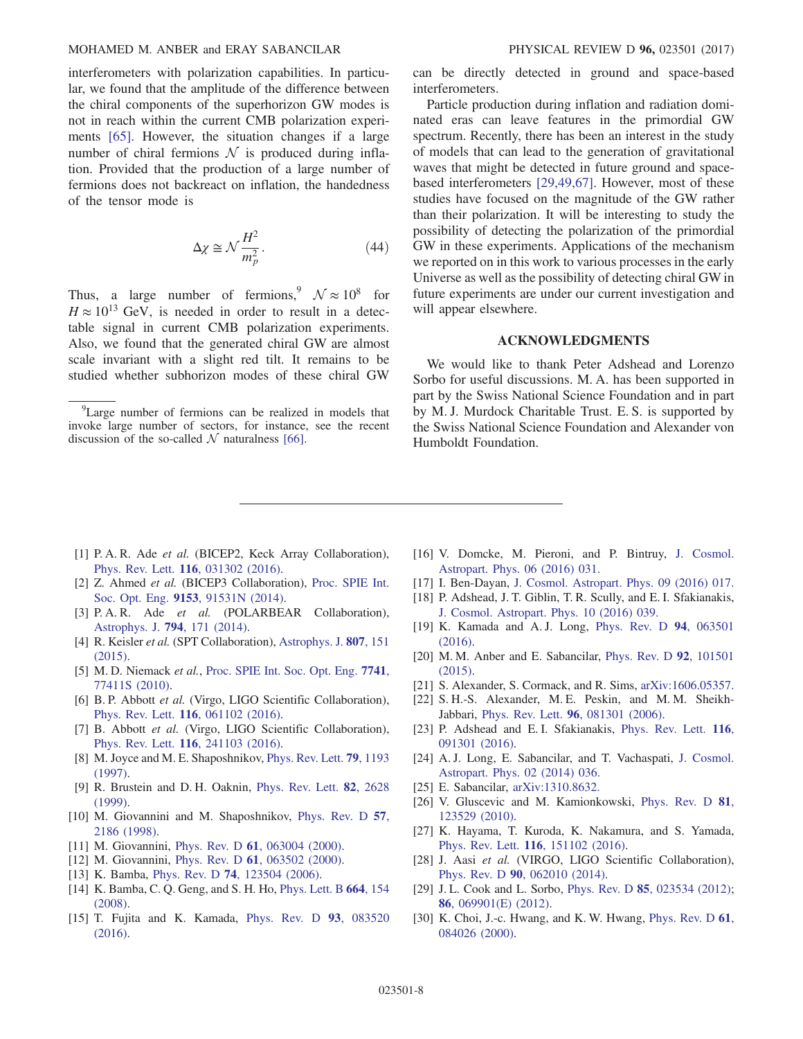interferometers with polarization capabilities. In particular, we found that the amplitude of the difference between the chiral components of the superhorizon GW modes is not in reach within the current CMB polarization experiments [\[65\].](#page-9-11) However, the situation changes if a large number of chiral fermions  $N$  is produced during inflation. Provided that the production of a large number of fermions does not backreact on inflation, the handedness of the tensor mode is

$$
\Delta \chi \cong \mathcal{N} \frac{H^2}{m_p^2}.\tag{44}
$$

Thus, a large number of fermions,<sup>9</sup>  $\mathcal{N} \approx 10^8$  for  $H \approx 10^{13}$  GeV, is needed in order to result in a detectable signal in current CMB polarization experiments. Also, we found that the generated chiral GW are almost scale invariant with a slight red tilt. It remains to be studied whether subhorizon modes of these chiral GW

<sup>9</sup>Large number of fermions can be realized in models that invoke large number of sectors, for instance, see the recent discussion of the so-called  $N$  naturalness [\[66\].](#page-9-12)

can be directly detected in ground and space-based interferometers.

Particle production during inflation and radiation dominated eras can leave features in the primordial GW spectrum. Recently, there has been an interest in the study of models that can lead to the generation of gravitational waves that might be detected in future ground and spacebased interferometers [\[29,49,67\].](#page-8-11) However, most of these studies have focused on the magnitude of the GW rather than their polarization. It will be interesting to study the possibility of detecting the polarization of the primordial GW in these experiments. Applications of the mechanism we reported on in this work to various processes in the early Universe as well as the possibility of detecting chiral GW in future experiments are under our current investigation and will appear elsewhere.

#### ACKNOWLEDGMENTS

We would like to thank Peter Adshead and Lorenzo Sorbo for useful discussions. M. A. has been supported in part by the Swiss National Science Foundation and in part by M. J. Murdock Charitable Trust. E. S. is supported by the Swiss National Science Foundation and Alexander von Humboldt Foundation.

- <span id="page-8-0"></span>[1] P. A. R. Ade et al. (BICEP2, Keck Array Collaboration), Phys. Rev. Lett. 116[, 031302 \(2016\).](https://doi.org/10.1103/PhysRevLett.116.031302)
- <span id="page-8-1"></span>[2] Z. Ahmed et al. (BICEP3 Collaboration), [Proc. SPIE Int.](https://doi.org/10.1117/12.2057224) Soc. Opt. Eng. 9153[, 91531N \(2014\)](https://doi.org/10.1117/12.2057224).
- <span id="page-8-2"></span>[3] P. A. R. Ade et al. (POLARBEAR Collaboration), [Astrophys. J.](https://doi.org/10.1088/0004-637X/794/2/171) 794, 171 (2014).
- <span id="page-8-3"></span>[4] R. Keisler et al. (SPT Collaboration), [Astrophys. J.](https://doi.org/10.1088/0004-637X/807/2/151) 807, 151 [\(2015\).](https://doi.org/10.1088/0004-637X/807/2/151)
- <span id="page-8-4"></span>[5] M. D. Niemack et al., [Proc. SPIE Int. Soc. Opt. Eng.](https://doi.org/10.1117/12.857464) 7741, [77411S \(2010\)](https://doi.org/10.1117/12.857464).
- <span id="page-8-5"></span>[6] B. P. Abbott et al. (Virgo, LIGO Scientific Collaboration), Phys. Rev. Lett. 116[, 061102 \(2016\).](https://doi.org/10.1103/PhysRevLett.116.061102)
- [7] B. Abbott et al. (Virgo, LIGO Scientific Collaboration), Phys. Rev. Lett. 116[, 241103 \(2016\).](https://doi.org/10.1103/PhysRevLett.116.241103)
- <span id="page-8-9"></span>[8] M. Joyce and M. E. Shaposhnikov, [Phys. Rev. Lett.](https://doi.org/10.1103/PhysRevLett.79.1193) 79, 1193 [\(1997\).](https://doi.org/10.1103/PhysRevLett.79.1193)
- [9] R. Brustein and D. H. Oaknin, [Phys. Rev. Lett.](https://doi.org/10.1103/PhysRevLett.82.2628) 82, 2628 [\(1999\).](https://doi.org/10.1103/PhysRevLett.82.2628)
- [10] M. Giovannini and M. Shaposhnikov, [Phys. Rev. D](https://doi.org/10.1103/PhysRevD.57.2186) 57, [2186 \(1998\)](https://doi.org/10.1103/PhysRevD.57.2186).
- [11] M. Giovannini, Phys. Rev. D 61[, 063004 \(2000\).](https://doi.org/10.1103/PhysRevD.61.063004)
- [12] M. Giovannini, Phys. Rev. D 61[, 063502 \(2000\).](https://doi.org/10.1103/PhysRevD.61.063502)
- [13] K. Bamba, Phys. Rev. D **74**[, 123504 \(2006\)](https://doi.org/10.1103/PhysRevD.74.123504).
- [14] K. Bamba, C. Q. Geng, and S. H. Ho, [Phys. Lett. B](https://doi.org/10.1016/j.physletb.2008.05.027) 664, 154 [\(2008\).](https://doi.org/10.1016/j.physletb.2008.05.027)
- [15] T. Fujita and K. Kamada, [Phys. Rev. D](https://doi.org/10.1103/PhysRevD.93.083520) 93, 083520 [\(2016\).](https://doi.org/10.1103/PhysRevD.93.083520)
- <span id="page-8-10"></span>[16] V. Domcke, M. Pieroni, and P. Bintruy, [J. Cosmol.](https://doi.org/10.1088/1475-7516/2016/06/031) [Astropart. Phys. 06 \(2016\) 031.](https://doi.org/10.1088/1475-7516/2016/06/031)
- [17] I. Ben-Dayan, [J. Cosmol. Astropart. Phys. 09 \(2016\) 017.](https://doi.org/10.1088/1475-7516/2016/09/017)
- [18] P. Adshead, J. T. Giblin, T. R. Scully, and E. I. Sfakianakis, [J. Cosmol. Astropart. Phys. 10 \(2016\) 039.](https://doi.org/10.1088/1475-7516/2016/10/039)
- [19] K. Kamada and A. J. Long, [Phys. Rev. D](https://doi.org/10.1103/PhysRevD.94.063501) 94, 063501 [\(2016\).](https://doi.org/10.1103/PhysRevD.94.063501)
- [20] M. M. Anber and E. Sabancilar, [Phys. Rev. D](https://doi.org/10.1103/PhysRevD.92.101501) 92, 101501 [\(2015\).](https://doi.org/10.1103/PhysRevD.92.101501)
- [21] S. Alexander, S. Cormack, and R. Sims, [arXiv:1606.05357.](http://arXiv.org/abs/1606.05357)
- [22] S. H.-S. Alexander, M. E. Peskin, and M. M. Sheikh-Jabbari, Phys. Rev. Lett. 96[, 081301 \(2006\).](https://doi.org/10.1103/PhysRevLett.96.081301)
- [23] P. Adshead and E.I. Sfakianakis, [Phys. Rev. Lett.](https://doi.org/10.1103/PhysRevLett.116.091301) 116, [091301 \(2016\).](https://doi.org/10.1103/PhysRevLett.116.091301)
- [24] A. J. Long, E. Sabancilar, and T. Vachaspati, [J. Cosmol.](https://doi.org/10.1088/1475-7516/2014/02/036) [Astropart. Phys. 02 \(2014\) 036.](https://doi.org/10.1088/1475-7516/2014/02/036)
- <span id="page-8-6"></span>[25] E. Sabancilar, [arXiv:1310.8632.](http://arXiv.org/abs/1310.8632)
- [26] V. Gluscevic and M. Kamionkowski, [Phys. Rev. D](https://doi.org/10.1103/PhysRevD.81.123529) 81, [123529 \(2010\).](https://doi.org/10.1103/PhysRevD.81.123529)
- <span id="page-8-7"></span>[27] K. Hayama, T. Kuroda, K. Nakamura, and S. Yamada, Phys. Rev. Lett. 116[, 151102 \(2016\).](https://doi.org/10.1103/PhysRevLett.116.151102)
- [28] J. Aasi et al. (VIRGO, LIGO Scientific Collaboration), Phys. Rev. D 90[, 062010 \(2014\)](https://doi.org/10.1103/PhysRevD.90.062010).
- <span id="page-8-11"></span>[29] J.L. Cook and L. Sorbo, Phys. Rev. D **85**[, 023534 \(2012\)](https://doi.org/10.1103/PhysRevD.85.023534); 86[, 069901\(E\) \(2012\).](https://doi.org/10.1103/PhysRevD.86.069901)
- <span id="page-8-8"></span>[30] K. Choi, J.-c. Hwang, and K. W. Hwang, [Phys. Rev. D](https://doi.org/10.1103/PhysRevD.61.084026) 61, [084026 \(2000\).](https://doi.org/10.1103/PhysRevD.61.084026)